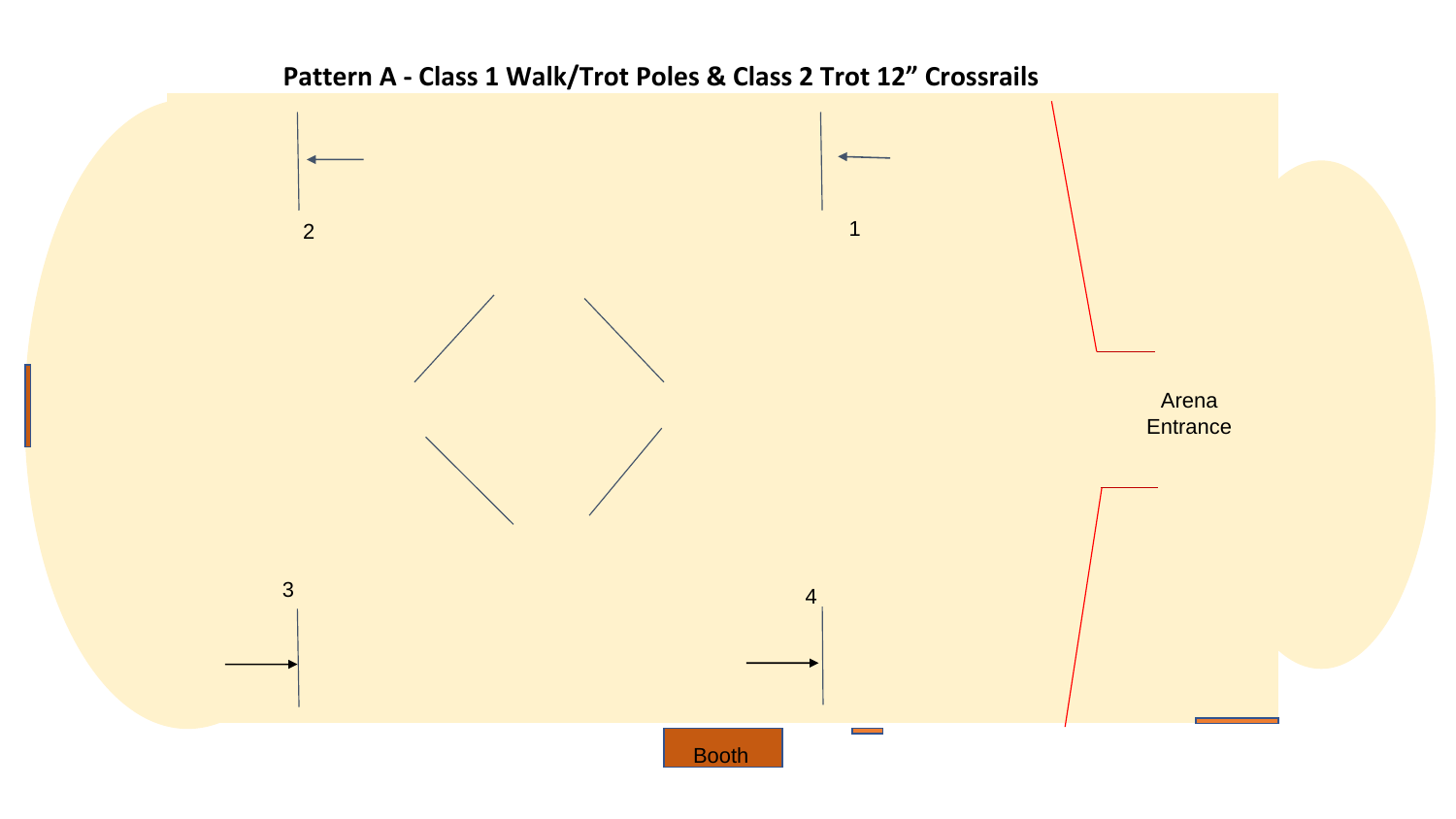## **Pattern A - Class 1 Walk/Trot Poles & Class 2 Trot 12" Crossrails**

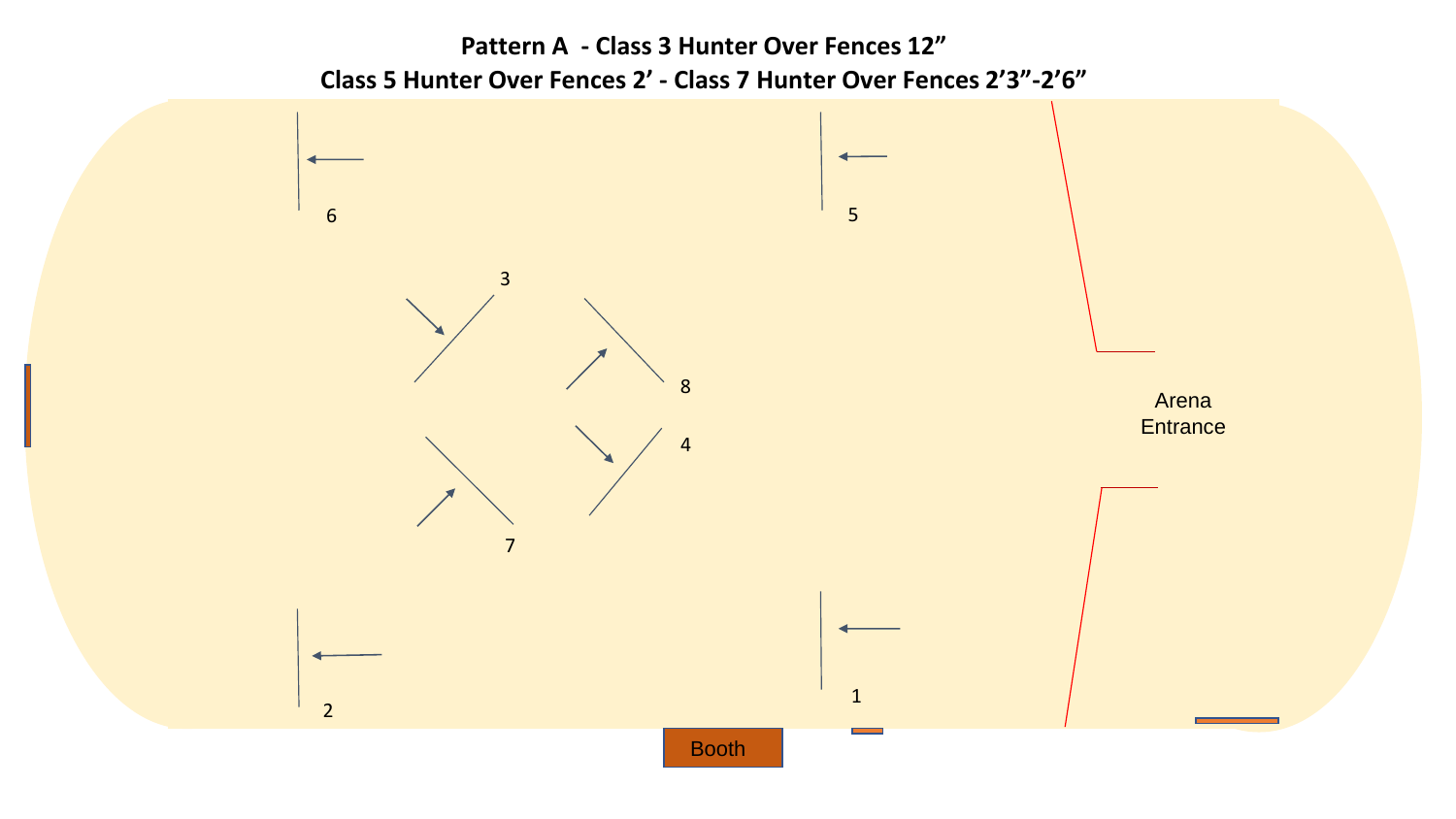**Pattern A - Class 3 Hunter Over Fences 12" Class 5 Hunter Over Fences 2' - Class 7 Hunter Over Fences 2'3"-2'6"**

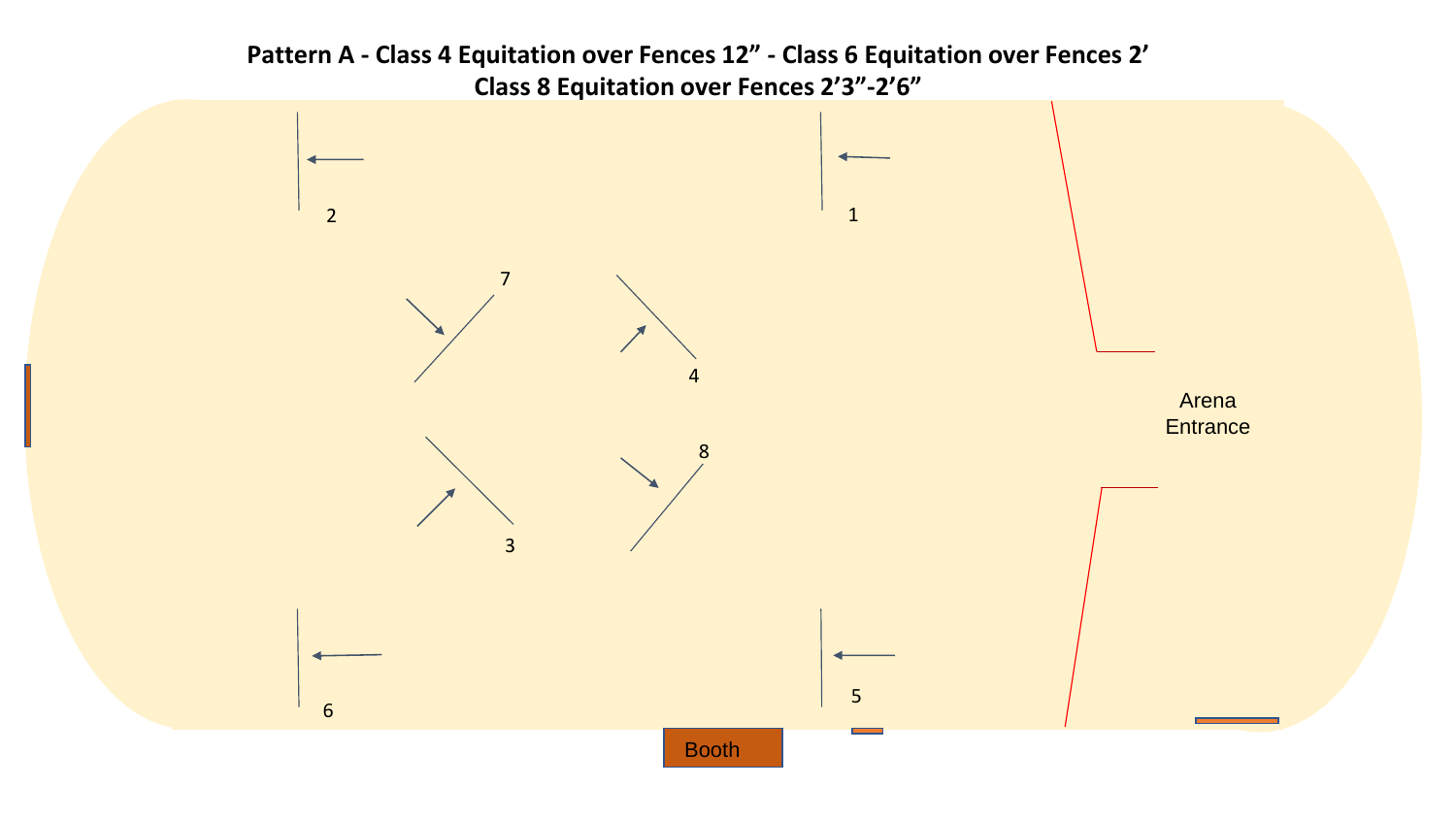**Pattern A - Class 4 Equitation over Fences 12" - Class 6 Equitation over Fences 2' Class 8 Equitation over Fences 2'3"-2'6"** 

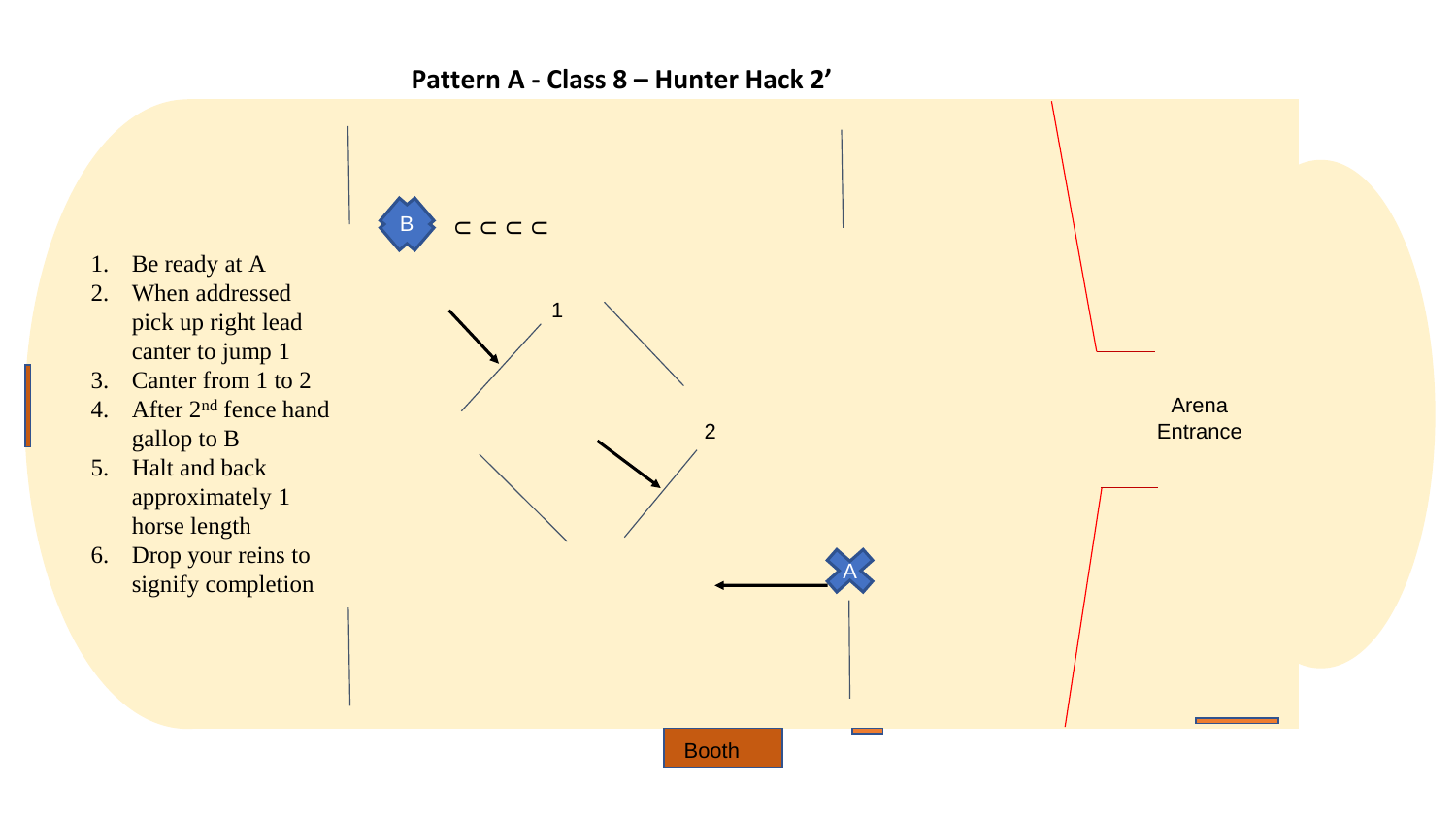### **Pattern A - Class 8 – Hunter Hack 2'**



Booth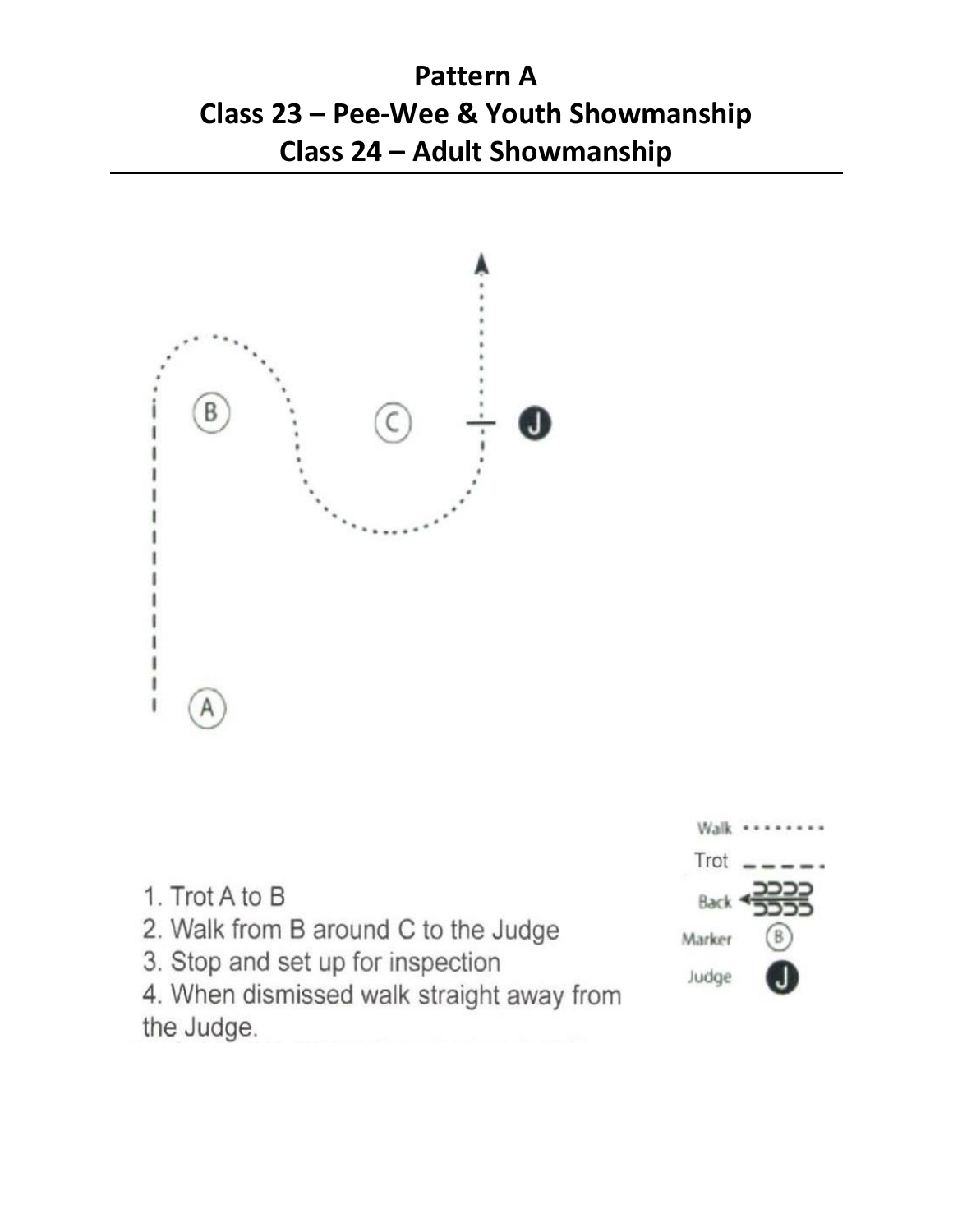# **Pattern A Class 23 – Pee-Wee & Youth Showmanship Class 24 – Adult Showmanship**



- 1. Trot A to B
- 2. Walk from B around C to the Judge
- 3. Stop and set up for inspection



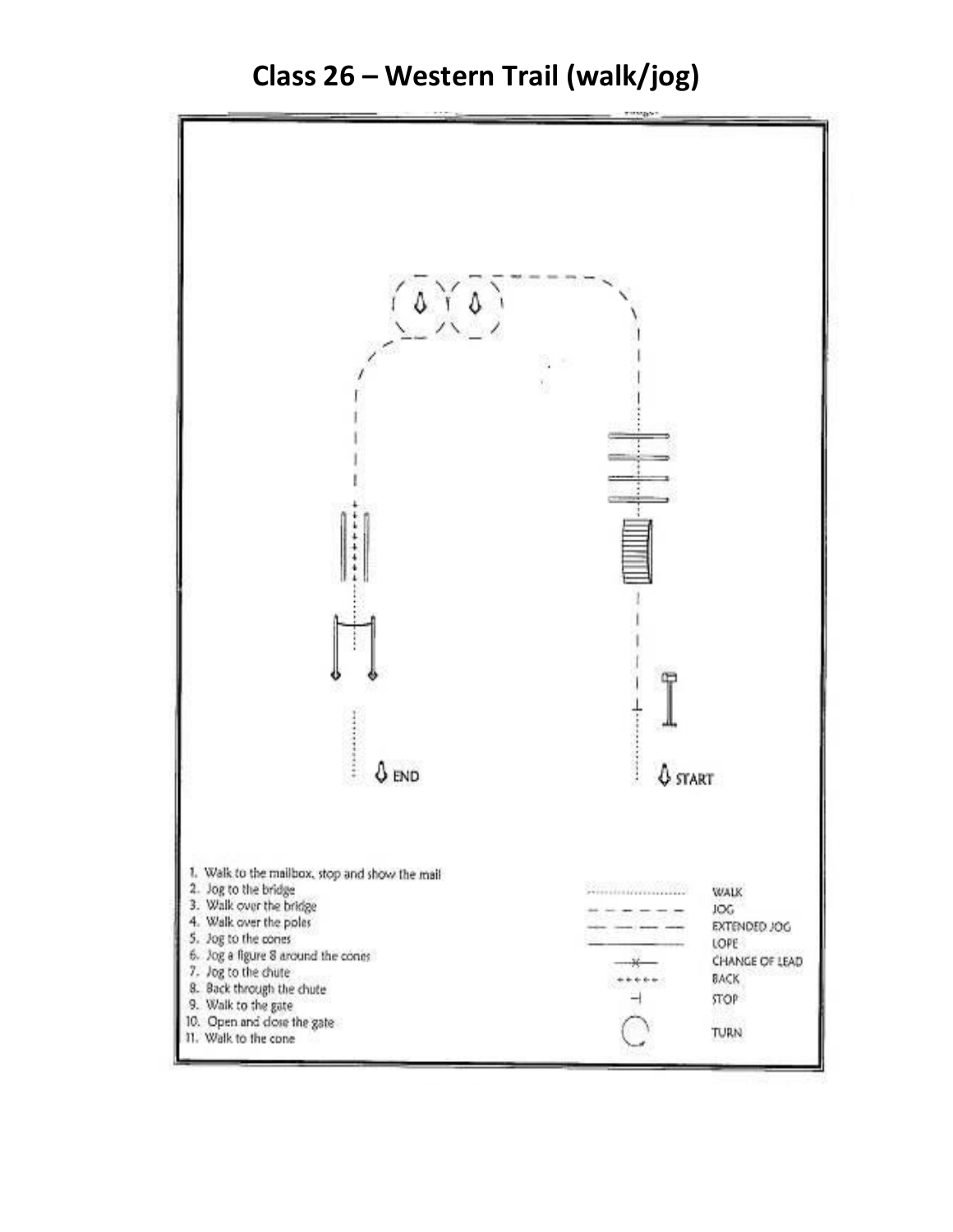

**Class 26 – Western Trail (walk/jog)**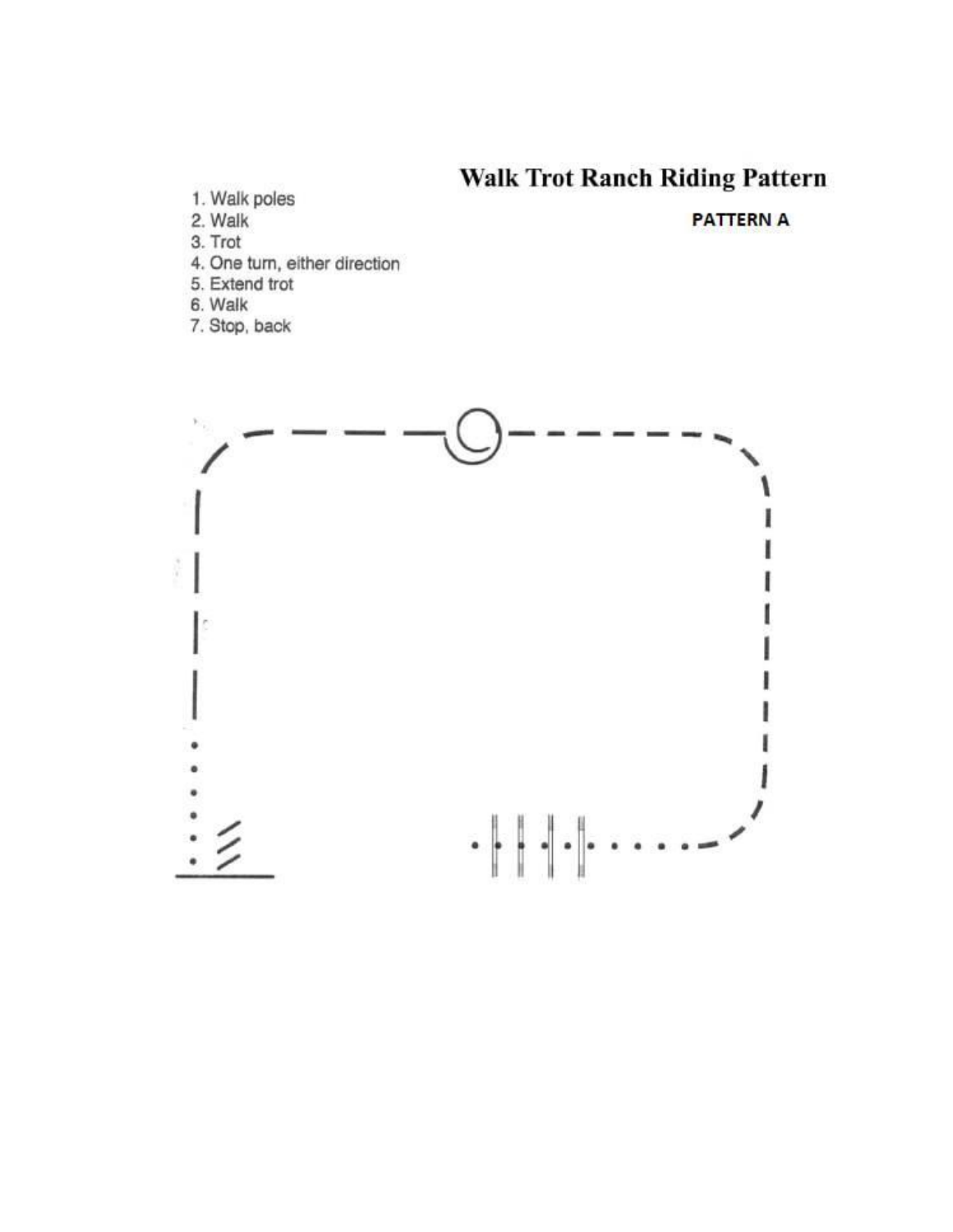## **Walk Trot Ranch Riding Pattern**

- 1. Walk poles
- 2. Walk
- 3. Trot
- 4. One turn, either direction
- 5. Extend trot
- 6. Walk
- 7. Stop, back

#### **PATTERN A**